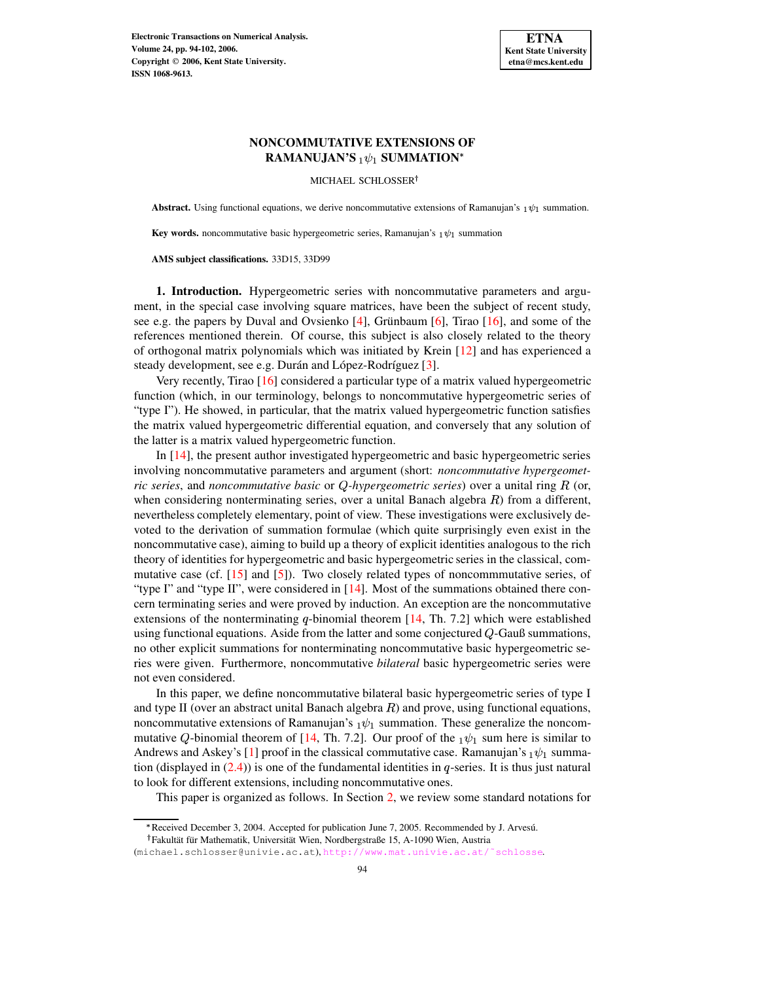

# **NONCOMMUTATIVE EXTENSIONS OF**  $\mathbf{RAMANUJAN}$ 'S  $_1\psi_1$  SUMMATION\*

MICHAEL SCHLOSSER<sup>†</sup>

**Abstract.** Using functional equations, we derive noncommutative extensions of Ramanujan's  $_1\psi_1$  summation.

**Key words.** noncommutative basic hypergeometric series, Ramanujan's  $_1\psi_1$  summation

**AMS subject classifications.** 33D15, 33D99

**1. Introduction.** Hypergeometric series with noncommutative parameters and argument, in the special case involving square matrices, have been the subject of recent study, see e.g. the papers by Duval and Ovsienko  $[4]$ , Grünbaum  $[6]$ , Tirao  $[16]$ , and some of the references mentioned therein. Of course, this subject is also closely related to the theory of orthogonal matrix polynomials which was initiated by Krein [\[12\]](#page-8-1) and has experienced a steady development, see e.g. Durán and López-Rodríguez [\[3\]](#page-7-2).

Very recently, Tirao [\[16\]](#page-8-0) considered a particular type of a matrix valued hypergeometric function (which, in our terminology, belongs to noncommutative hypergeometric series of "type I"). He showed, in particular, that the matrix valued hypergeometric function satisfies the matrix valued hypergeometric differential equation, and conversely that any solution of the latter is a matrix valued hypergeometric function.

In [\[14\]](#page-8-2), the present author investigated hypergeometric and basic hypergeometric series involving noncommutative parameters and argument (short: *noncommutative hypergeometric series*, and *noncommutative basic* or *-hypergeometric series*) over a unital ring (or, when considering nonterminating series, over a unital Banach algebra  $R$ ) from a different, nevertheless completely elementary, point of view. These investigations were exclusively devoted to the derivation of summation formulae (which quite surprisingly even exist in the noncommutative case), aiming to build up a theory of explicit identities analogous to the rich theory of identities for hypergeometric and basic hypergeometric series in the classical, commutative case (cf.  $[15]$  and  $[5]$ ). Two closely related types of noncommutative series, of "type I" and "type II", were considered in [\[14\]](#page-8-2). Most of the summations obtained there concern terminating series and were proved by induction. An exception are the noncommutative extensions of the nonterminating  $q$ -binomial theorem [\[14,](#page-8-2) Th. 7.2] which were established using functional equations. Aside from the latter and some conjectured  $Q$ -Gauß summations, no other explicit summations for nonterminating noncommutative basic hypergeometric series were given. Furthermore, noncommutative *bilateral* basic hypergeometric series were not even considered.

In this paper, we define noncommutative bilateral basic hypergeometric series of type I and type II (over an abstract unital Banach algebra  $R$ ) and prove, using functional equations, noncommutative extensions of Ramanujan's  $_1\psi_1$  summation. These generalize the noncom-mutative Q-binomial theorem of [\[14,](#page-8-2) Th. 7.2]. Our proof of the  $_1\psi_1$  sum here is similar to Andrews and Askey's [\[1\]](#page-7-4) proof in the classical commutative case. Ramanujan's  $_1\psi_1$  summation (displayed in  $(2.4)$ ) is one of the fundamental identities in q-series. It is thus just natural to look for different extensions, including noncommutative ones.

This paper is organized as follows. In Section [2,](#page-1-1) we review some standard notations for

Received December 3, 2004. Accepted for publication June 7, 2005. Recommended by J. Arvesú.

<sup>&</sup>lt;sup>†</sup> Fakultät für Mathematik, Universität Wien, Nordbergstraße 15, A-1090 Wien, Austria

<sup>(</sup>michael.schlosser@univie.ac.at), [http://www.mat.univie.ac.at/˜schlosse](http://www.mat.univie.ac.at/~schlosse).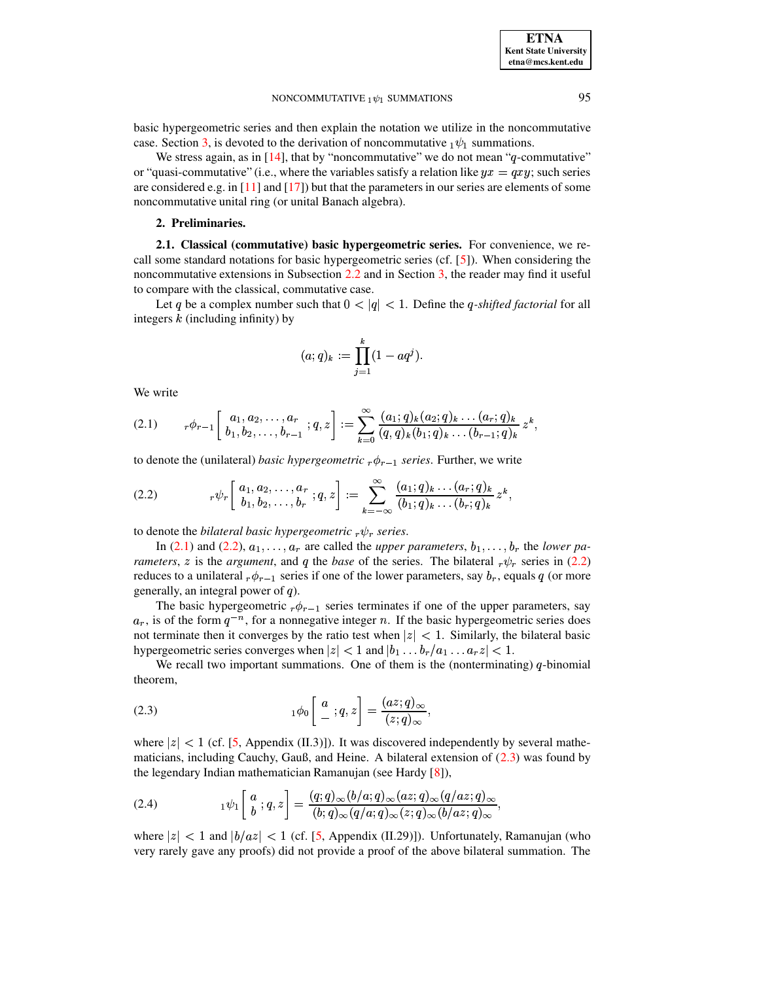### NONCOMMUTATIVE  $_1 \psi_1$  SUMMATIONS 95

basic hypergeometric series and then explain the notation we utilize in the noncommutative case. Section [3,](#page-4-0) is devoted to the derivation of noncommutative  $_1\psi_1$  summations.

We stress again, as in  $[14]$ , that by "noncommutative" we do not mean "q-commutative" or "quasi-commutative" (i.e., where the variables satisfy a relation like  $yx = qxy$ ; such series are considered e.g. in  $[11]$  and  $[17]$ ) but that the parameters in our series are elements of some noncommutative unital ring (or unital Banach algebra).

### **2. Preliminaries.**

<span id="page-1-1"></span>**2.1. Classical (commutative) basic hypergeometric series.** For convenience, we recall some standard notations for basic hypergeometric series (cf. [\[5\]](#page-7-3)). When considering the noncommutative extensions in Subsection [2.2](#page-2-0) and in Section [3,](#page-4-0) the reader may find it useful to compare with the classical, commutative case.

Let q be a complex number such that  $0 < |q| < 1$ . Define the q-shifted factorial for all integers  $k$  (including infinity) by

$$
(a;q)_k := \prod_{j=1}^k (1 - aq^j).
$$

We write

<span id="page-1-2"></span>
$$
(2.1) \t r\phi_{r-1}\left[\begin{array}{c} a_1, a_2, \ldots, a_r \\ b_1, b_2, \ldots, b_{r-1} \end{array}; q, z\right] := \sum_{k=0}^{\infty} \frac{(a_1; q)_k (a_2; q)_k \ldots (a_r; q)_k}{(q, q)_k (b_1; q)_k \ldots (b_{r-1}; q)_k} z^k,
$$

to denote the (unilateral) *basic hypergeometric*  $_{r}\phi_{r-1}$  *series*. Further, we write

<span id="page-1-3"></span>
$$
(2.2) \t r\psi_r\left[\begin{array}{c} a_1, a_2, \ldots, a_r \\ b_1, b_2, \ldots, b_r \end{array}; q, z\right] := \sum_{k=-\infty}^{\infty} \frac{(a_1; q)_k \ldots (a_r; q)_k}{(b_1; q)_k \ldots (b_r; q)_k} z^k,
$$

to denote the *bilateral basic hypergeometric*  $_r \psi_r$  series.

In [\(2.1\)](#page-1-2) and [\(2.2\)](#page-1-3),  $a_1, \ldots, a_r$  are called the *upper parameters*,  $b_1, \ldots, b_r$  the *lower parameters, z* is the *argument*, and q the *base* of the series. The bilateral  $r \psi_r$  series in [\(2.2\)](#page-1-3) reduces to a unilateral  ${}_{r}\phi_{r-1}$  series if one of the lower parameters, say  $b_r$ , equals q (or more generally, an integral power of  $q$ ).

The basic hypergeometric  $r\phi_{r-1}$  series terminates if one of the upper parameters, say  $a_r$ , is of the form  $q^{-n}$ , for a nonnegative integer n. If the basic hypergeometric series does not terminate then it converges by the ratio test when  $|z| < 1$ . Similarly, the bilateral basic hypergeometric series converges when  $|z| < 1$  and  $|b_1 \dots b_r/a_1 \dots a_r z| < 1$ .

We recall two important summations. One of them is the (nonterminating)  $q$ -binomial theorem,

<span id="page-1-4"></span>(2.3) 
$$
{}_{1}\phi_{0}\left[\begin{array}{l} a \\ - \end{array};q,z\right] = \frac{(az;q)_{\infty}}{(z;q)_{\infty}},
$$

where  $|z| < 1$  (cf. [\[5,](#page-7-3) Appendix (II.3)]). It was discovered independently by several mathematicians, including Cauchy, Gauß, and Heine. A bilateral extension of  $(2.3)$  was found by the legendary Indian mathematician Ramanujan (see Hardy [\[8\]](#page-7-5)),

<span id="page-1-0"></span>(2.4) 
$$
{}_{1}\psi_{1}\left[\begin{array}{l} a \\ b \end{array};q,z\right] = \frac{(q;q)_{\infty}(b/a;q)_{\infty}(az;q)_{\infty}(q/az;q)_{\infty}}{(b;q)_{\infty}(q/a;q)_{\infty}(z;q)_{\infty}(b/az;q)_{\infty}},
$$

where  $|z| < 1$  and  $|b/a z| < 1$  (cf. [\[5,](#page-7-3) Appendix (II.29)]). Unfortunately, Ramanujan (who very rarely gave any proofs) did not provide a proof of the above bilateral summation. The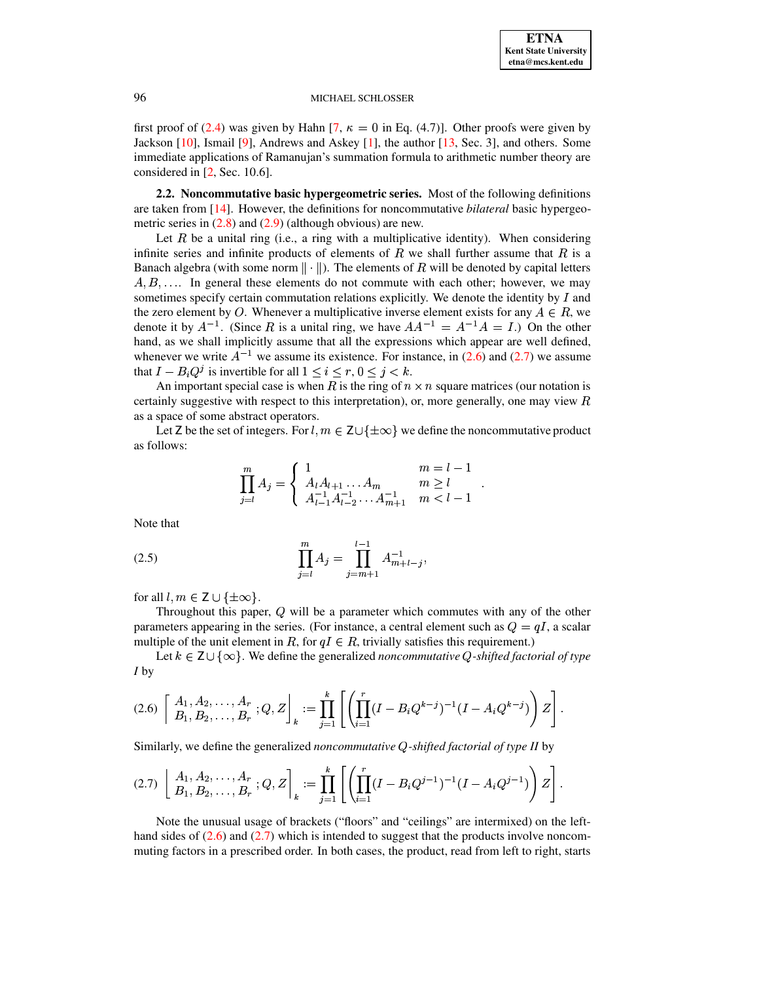first proof of [\(2.4\)](#page-1-0) was given by Hahn [\[7,](#page-7-6)  $\kappa = 0$  in Eq. (4.7)]. Other proofs were given by Jackson [\[10\]](#page-7-7), Ismail [\[9\]](#page-7-8), Andrews and Askey [\[1\]](#page-7-4), the author [\[13,](#page-8-6) Sec. 3], and others. Some immediate applications of Ramanujan's summation formula to arithmetic number theory are considered in [\[2,](#page-7-9) Sec. 10.6].

<span id="page-2-0"></span>**2.2. Noncommutative basic hypergeometric series.** Most of the following definitions are taken from [\[14\]](#page-8-2). However, the definitions for noncommutative *bilateral* basic hypergeometric series in  $(2.8)$  and  $(2.9)$  (although obvious) are new.

Let  $R$  be a unital ring (i.e., a ring with a multiplicative identity). When considering infinite series and infinite products of elements of  $R$  we shall further assume that  $R$  is a Banach algebra (with some norm  $\|\cdot\|$ ). The elements of R will be denoted by capital letters  $A, B, \ldots$  In general these elements do not commute with each other; however, we may sometimes specify certain commutation relations explicitly. We denote the identity by  $I$  and the zero element by O. Whenever a multiplicative inverse element exists for any  $A \in R$ , we denote it by  $A^{-1}$ . (Since R is a unital ring, we have  $AA^{-1} = A^{-1}A = I$ .) On the other hand, as we shall implicitly assume that all the expressions which appear are well defined, whenever we write  $A^{-1}$  we assume its existence. For instance, in [\(2.6\)](#page-2-1) and [\(2.7\)](#page-2-2) we assume that  $I - B_i Q^j$  is invertible for *i* is invertible for all  $1 \le i \le r, 0 \le j \le k$ .

An important special case is when R is the ring of  $n \times n$  square matrices (our notation is certainly suggestive with respect to this interpretation), or, more generally, one may view  $R$ as a space of some abstract operators.

Let Z be the set of integers. For  $l, m \in \mathsf{Z} \cup \{\pm \infty\}$  we define the noncommutative product as follows:

$$
\prod_{j=l}^{m} A_j = \begin{cases} 1 & m=l-1 \\ A_l A_{l+1} \dots A_m & m \ge l \\ A_{l-1}^{-1} A_{l-2}^{-1} \dots A_{m+1}^{-1} & m < l-1 \end{cases}.
$$

Note that

<span id="page-2-3"></span>(2.5) 
$$
\prod_{j=l}^{m} A_j = \prod_{j=m+1}^{l-1} A_{m+l-j}^{-1},
$$

for all  $l, m \in \mathsf{Z} \cup \{\pm \infty\}.$ 

Throughout this paper,  $Q$  will be a parameter which commutes with any of the other parameters appearing in the series. (For instance, a central element such as  $Q = qI$ , a scalar multiple of the unit element in R, for  $qI \in R$ , trivially satisfies this requirement.)

Let  $k \in \mathsf{Z} \cup \{\infty\}$ . We define the generalized *noncommutative* Q-shifted factorial of type *I* by

<span id="page-2-1"></span>
$$
(2.6)\left[\begin{array}{c}A_1,A_2,\ldots,A_r\\B_1,B_2,\ldots,B_r\end{array};Q,Z\right]_k:=\prod_{j=1}^k\left[\left(\prod_{i=1}^r(I-B_iQ^{k-j})^{-1}(I-A_iQ^{k-j})\right)Z\right].
$$

Similarly, we define the generalized *noncommutative -shifted factorial of type II* by

<span id="page-2-2"></span>
$$
(2.7)\left[\begin{array}{c}A_1,A_2,\ldots,A_r\\B_1,B_2,\ldots,B_r\end{array};Q,Z\right]_k:=\prod_{j=1}^k\left[\left(\prod_{i=1}^r(I-B_iQ^{j-1})^{-1}(I-A_iQ^{j-1})\right)Z\right].
$$

Note the unusual usage of brackets ("floors" and "ceilings" are intermixed) on the lefthand sides of  $(2.6)$  and  $(2.7)$  which is intended to suggest that the products involve noncommuting factors in a prescribed order. In both cases, the product, read from left to right, starts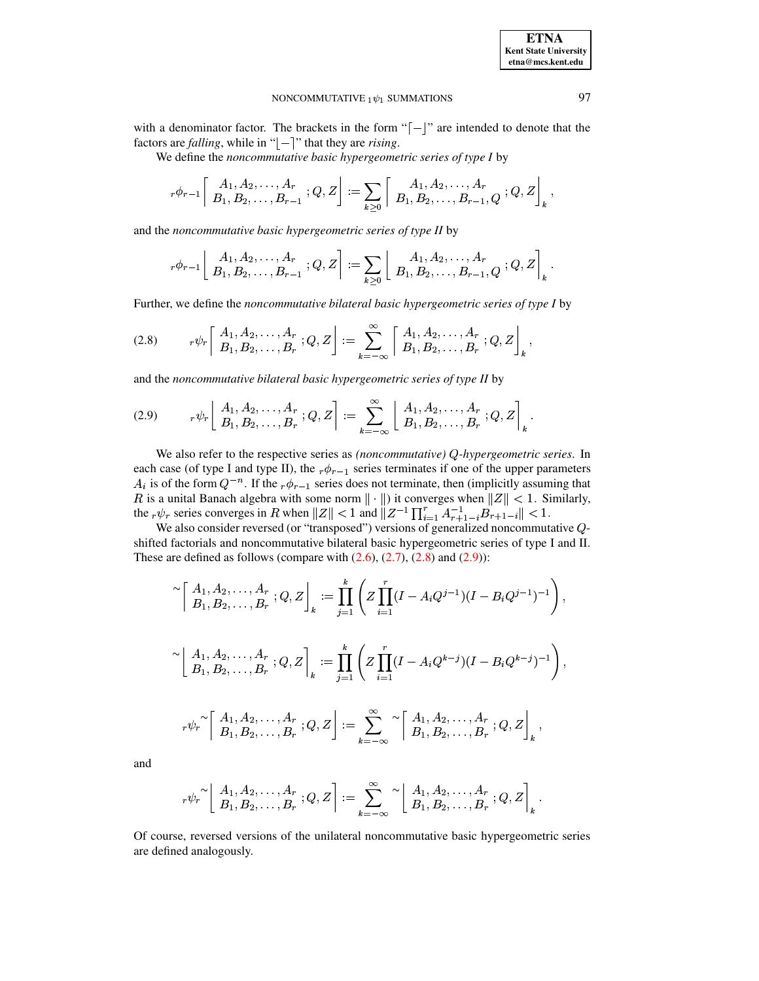### **ETNA Kent State University etna@mcs.kent.edu**

## NONCOMMUTATIVE  $_1 \psi_1$  SUMMATIONS 97

with a denominator factor. The brackets in the form " $\lceil - \rceil$ " are intended to denote that the factors are *falling*, while in " $\vert - \vert$ " that they are *rising*.

We define the *noncommutative basic hypergeometric series of type I* by

$$
{}_r\phi_{r-1}\left[\begin{array}{c} A_1,A_2,\ldots,A_r \\ B_1,B_2,\ldots,B_{r-1} \end{array} ;Q,Z\right]:=\sum_{k\geq 0}\left[\begin{array}{c} A_1,A_2,\ldots,A_r \\ B_1,B_2,\ldots,B_{r-1},Q \end{array} ;Q,Z\right]_k,
$$

and the *noncommutative basic hypergeometric series of type II* by

$$
{}_r\phi_{r-1}\left[\begin{array}{c}A_1,A_2,\ldots,A_r\\ B_1,B_2,\ldots,B_{r-1}\end{array};Q,Z\right]:=\sum_{k\geq 0}\left[\begin{array}{c}A_1,A_2,\ldots,A_r\\ B_1,B_2,\ldots,B_{r-1},Q\end{array};Q,Z\right]_k.
$$

Further, we define the *noncommutative bilateral basic hypergeometric series of type I* by

<span id="page-3-0"></span>
$$
(2.8) \t r\psi_r \left[ \begin{array}{c} A_1, A_2, \ldots, A_r \\ B_1, B_2, \ldots, B_r \end{array} ; Q, Z \right] := \sum_{k=-\infty}^{\infty} \left[ \begin{array}{c} A_1, A_2, \ldots, A_r \\ B_1, B_2, \ldots, B_r \end{array} ; Q, Z \right]_k,
$$

@ and the *noncommutative bilateral basic hypergeometric series of type II* by

<span id="page-3-1"></span>
$$
(2.9) \qquad r\psi_r\left[\begin{array}{c} A_1, A_2, \ldots, A_r \\ B_1, B_2, \ldots, B_r \end{array}; Q, Z\right] := \sum_{k=-\infty}^{\infty} \left[\begin{array}{c} A_1, A_2, \ldots, A_r \\ B_1, B_2, \ldots, B_r \end{array}; Q, Z\right]_k.
$$

We also refer to the respective series as *(noncommutative)* Q-hypergeometric series. In each case (of type I and type II), the  ${}_{r}\phi_{r-1}$  series terminates if one of the upper parameters  $A_i$  is of the form  $Q^{-n}$ . If the  ${}_{r}\phi_{r-1}$  series does not terminate, then (implicitly assuming that R is a unital Banach algebra with some norm  $\|\cdot\|$  it converges when  $\|Z\|$  < 1. Similarly, the  $_r \psi_r$  series converges in R when  $||Z|| < 1$  and  $||Z^{-1} \prod_{i=1}^r A_{r+1-i}^{-1} B_{r+1-i}|| < 1$ .

We also consider reversed (or "transposed") versions of generalized noncommutative  $Q$ shifted factorials and noncommutative bilateral basic hypergeometric series of type I and II. These are defined as follows (compare with  $(2.6)$ ,  $(2.7)$ ,  $(2.8)$  and  $(2.9)$ ):

$$
\begin{aligned}\n&\sim \left[\begin{array}{c} A_1, A_2, \ldots, A_r \\ B_1, B_2, \ldots, B_r \end{array}; Q, Z\right]_k := \prod_{j=1}^k \left( Z \prod_{i=1}^r (I - A_i Q^{j-1})(I - B_i Q^{j-1})^{-1} \right), \\
&\sim \left[\begin{array}{c} A_1, A_2, \ldots, A_r \\ B_1, B_2, \ldots, B_r \end{array}; Q, Z\right]_k := \prod_{j=1}^k \left( Z \prod_{i=1}^r (I - A_i Q^{k-j})(I - B_i Q^{k-j})^{-1} \right), \\
&\sim_{r} \psi_r \sim \left[\begin{array}{c} A_1, A_2, \ldots, A_r \\ B_1, B_2, \ldots, B_r \end{array}; Q, Z\right] := \sum_{k=-\infty}^{\infty} \sim \left[\begin{array}{c} A_1, A_2, \ldots, A_r \\ B_1, B_2, \ldots, B_r \end{array}; Q, Z\right]_k,\n\end{aligned}
$$

and

$$
{}_r\psi_r^\thicksim\left[\begin{array}{c}A_1,A_2,\ldots,A_r\\ B_1,B_2,\ldots,B_r\end{array};Q,Z\right]:=\sum_{k=-\infty}^\infty\left[\begin{array}{c}A_1,A_2,\ldots,A_r\\ B_1,B_2,\ldots,B_r\end{array};Q,Z\right]_k.
$$

@ Of course, reversed versions of the unilateral noncommutative basic hypergeometric series are defined analogously.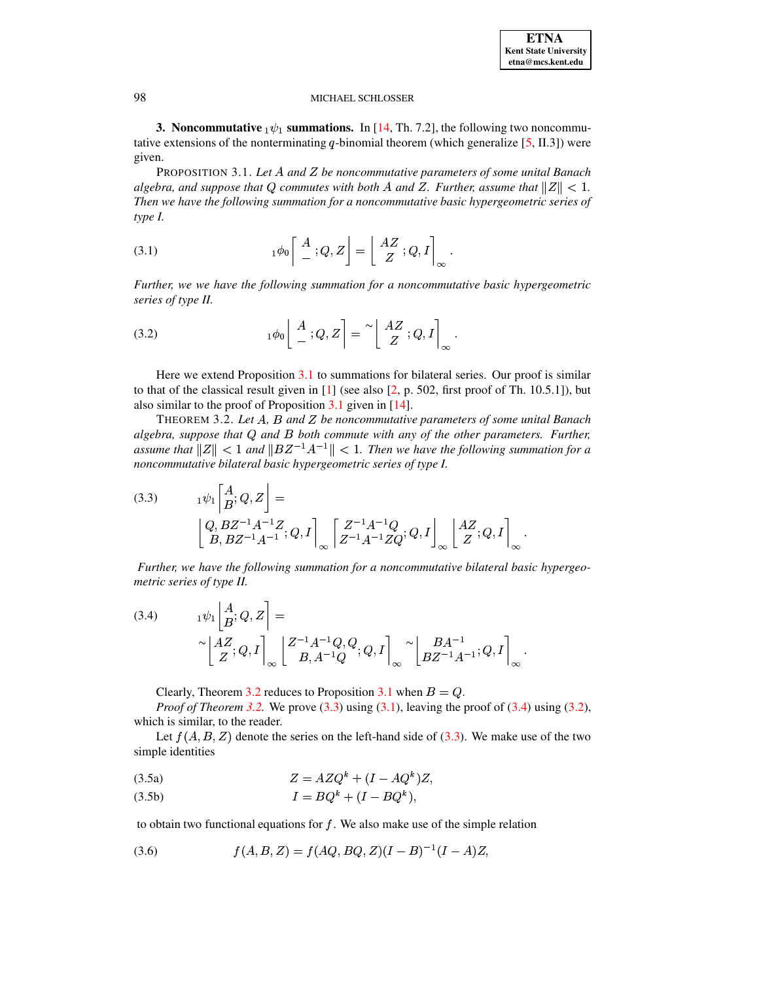<span id="page-4-0"></span>**3. Noncommutative**  $_1\psi_1$  summations. In [\[14,](#page-8-2) Th. 7.2], the following two noncommutative extensions of the nonterminating  $q$ -binomial theorem (which generalize [\[5,](#page-7-3) II.3]) were given.

<span id="page-4-1"></span>PROPOSITION 3.1. *Let* <sup>Z</sup> *and be noncommutative parameters of some unital Banach algebra, and suppose that*  $Q$  commutes with both  $A$  and  $Z$ . Further, assume that  $\|Z\| < 1$ . *Then we have the following summation for a noncommutative basic hypergeometric series of type I.*

<span id="page-4-4"></span>(3.1) 
$$
{}_{1}\phi_{0}\left[\begin{array}{c} A \\ - \end{array};Q,Z\right] = \left[\begin{array}{c} AZ \\ Z \end{array};Q,I\right]_{\infty}.
$$

@ *Further, we we have the following summation for a noncommutative basic hypergeometric series of type II.*

<span id="page-4-6"></span>(3.2) 
$$
{}_{1}\phi_{0}\left[\begin{array}{c}A\\-,Q,Z\end{array}\right]=\left[\begin{array}{c}AZ\\Z\end{array};Q,I\right]_{\infty}.
$$

Here we extend Proposition [3.1](#page-4-1) to summations for bilateral series. Our proof is similar to that of the classical result given in  $[1]$  (see also  $[2, p. 502$  $[2, p. 502$ , first proof of Th. 10.5.1]), but also similar to the proof of Proposition [3.1](#page-4-1) given in [\[14\]](#page-8-2).

<span id="page-4-2"></span>THEOREM 3.2. *Let* <sup>Z</sup> *,* [ *and be noncommutative parameters of some unital Banach algebra, suppose that and* [ *both commute with any of the other parameters. Further, assume* that  $||Z|| < 1$  and  $||BZ^{-1}A^{-1}|| < 1$ . Then we have the following summation for a

<span id="page-4-3"></span>noncommutative bilateral basic hypergeometric series of type I.  
\n(3.3) 
$$
{}_{1}\psi_{1}\begin{bmatrix} A \\ B \end{bmatrix}Q, Z = \begin{bmatrix} Q, BZ^{-1}A^{-1}Z \\ B, BZ^{-1}A^{-1} \end{bmatrix}Q, I \begin{bmatrix} Z^{-1}A^{-1}Q \\ Z^{-1}A^{-1}ZQ \end{bmatrix}Q, I \begin{bmatrix} AZ \\ Z \end{bmatrix}Q, I \end{bmatrix}_{\infty}.
$$

@ @ @ *Further, we have the following summation for a noncommutative bilateral basic hypergeometric series of type II.*

<span id="page-4-5"></span>(3.4) 
$$
{}_{1}\psi_{1}\begin{bmatrix} A \\ B \end{bmatrix}; Q, Z = \begin{bmatrix} \times^{-1}A^{-1}Q, Q \\ Z \end{bmatrix}; Q, I \begin{bmatrix} Z^{-1}A^{-1}Q, Q \\ B, A^{-1}Q \end{bmatrix}; Q, I \begin{bmatrix} BA^{-1} \\ BZ^{-1}A^{-1} \end{bmatrix}; Q, I \begin{bmatrix} \times B & \times B & \times B \\ B & \times C & \times C \end{bmatrix}; Q, I \begin{bmatrix} \times B & \times B & \times C \\ B & \times C & \times C \end{bmatrix}; Q, I \begin{bmatrix} \times B & \times C & \times C \\ B & \times C & \times C \end{bmatrix}; Q, I \begin{bmatrix} \times B & \times C & \times C \\ B & \times C & \times C \end{bmatrix}; Q, I \begin{bmatrix} \times B & \times C & \times C \\ B & \times C & \times C & \times C \end{bmatrix}; Q, I \begin{bmatrix} \times B & \times C & \times C \\ B & \times C & \times C & \times C \end{bmatrix}; Q, I \begin{bmatrix} \times B & \times C & \times C \\ B & \times C & \times C & \times C \end{bmatrix}; Q, I \begin{bmatrix} \times B & \times C & \times C \\ B & \times C & \times C & \times C \end{bmatrix}; Q, I \begin{bmatrix} \times B & \times C & \times C \\ B & \times C & \times C & \times C \end{bmatrix}; Q, I \begin{bmatrix} \times B & \times C & \times C \\ B & \times C & \times C & \times C \end{bmatrix}; Q, I \begin{bmatrix} \times B & \times C & \times C \\ B & \times C & \times C & \times C \end{bmatrix}; Q, I \begin{bmatrix} \times B & \times C & \times C \\ B & \times C & \times C & \times C \end{bmatrix}; Q, I \begin{bmatrix} \times B & \times C & \times C \\ B & \times C & \times C & \times C \end{bmatrix}; Q, I \begin{bmatrix} \times B & \times C & \times C \\ B & \times C & \times C & \times C \end{bmatrix}; Q, I \begin{bmatrix} \times B & \times C & \times C \\ B & \times C & \times C & \times C \end{bmatrix}; Q, I \begin{bmatrix} \times B & \times C & \times C \\ B & \times C & \times C & \times C \end{bmatrix}; Q, I \begin{bmatrix} \times B & \times
$$

Clearly, Theorem [3.2](#page-4-2) reduces to Proposition [3.1](#page-4-1) when  $B = Q$ .

*Proof of Theorem* [3.2.](#page-4-2) We prove  $(3.3)$  using  $(3.1)$ , leaving the proof of  $(3.4)$  using  $(3.2)$ , which is similar, to the reader.

Let  $f(A, B, Z)$  denote the series on the left-hand side of [\(3.3\)](#page-4-3). We make use of the two simple identities

<span id="page-4-7"></span>
$$
(3.5a) \t\t Z = AZQk + (I - AQk)Z,
$$

$$
(3.5b) \tI = BQk + (I - BQk),
$$

to obtain two functional equations for  $f$ . We also make use of the simple relation

<span id="page-4-8"></span>
$$
(3.6) \t f(A, B, Z) = f(AQ, BQ, Z)(I - B)^{-1}(I - A)Z,
$$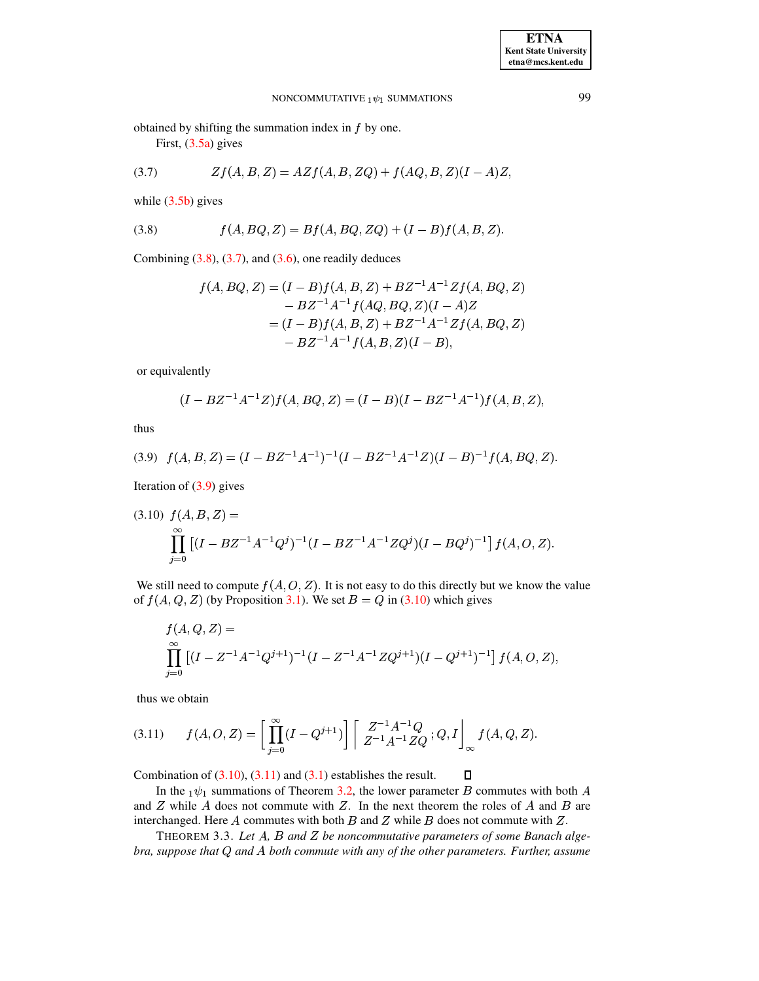obtained by shifting the summation index in  $f$  by one.

First, [\(3.5a\)](#page-4-7) gives

<span id="page-5-1"></span>(3.7) 
$$
Zf(A, B, Z) = AZf(A, B, ZQ) + f(AQ, B, Z)(I - A)Z,
$$

while  $(3.5b)$  gives

<span id="page-5-0"></span>(3.8) 
$$
f(A, BQ, Z) = Bf(A, BQ, ZQ) + (I - B)f(A, B, Z).
$$

Combining  $(3.8)$ ,  $(3.7)$ , and  $(3.6)$ , one readily deduces

$$
f(A, BQ, Z) = (I - B)f(A, B, Z) + BZ^{-1}A^{-1}Zf(A, BQ, Z)
$$
  
\n
$$
- BZ^{-1}A^{-1}f(AQ, BQ, Z)(I - A)Z
$$
  
\n
$$
= (I - B)f(A, B, Z) + BZ^{-1}A^{-1}Zf(A, BQ, Z)
$$
  
\n
$$
- BZ^{-1}A^{-1}f(A, B, Z)(I - B),
$$

or equivalently

$$
(I - BZ^{-1}A^{-1}Z)f(A, BQ, Z) = (I - B)(I - BZ^{-1}A^{-1})f(A, B, Z),
$$

thus

<span id="page-5-2"></span>
$$
(3.9) f(A, B, Z) = (I - BZ^{-1}A^{-1})^{-1}(I - BZ^{-1}A^{-1}Z)(I - B)^{-1}f(A, BQ, Z).
$$

Iteration of  $(3.9)$  gives

<span id="page-5-3"></span>
$$
(3.10) f(A, B, Z) =
$$
  

$$
\prod_{j=0}^{\infty} \left[ (I - B Z^{-1} A^{-1} Q^{j})^{-1} (I - B Z^{-1} A^{-1} Z Q^{j}) (I - B Q^{j})^{-1} \right] f(A, O, Z).
$$

We still need to compute  $f(A, O, Z)$ . It is not easy to do this directly but we know the value of  $f(A, Q, Z)$  (by Proposition [3.1\)](#page-4-1). We set  $B = Q$  in [\(3.10\)](#page-5-3) which gives

$$
f(A, Q, Z) =
$$
  

$$
\prod_{j=0}^{\infty} \left[ (I - Z^{-1} A^{-1} Q^{j+1})^{-1} (I - Z^{-1} A^{-1} Z Q^{j+1}) (I - Q^{j+1})^{-1} \right] f(A, O, Z),
$$

thus we obtain

<span id="page-5-4"></span>
$$
(3.11) \t f(A, O, Z) = \left[ \prod_{j=0}^{\infty} (I - Q^{j+1}) \right] \left[ \begin{array}{c} Z^{-1} A^{-1} Q \\ Z^{-1} A^{-1} Z Q \end{array}; Q, I \right]_{\infty} f(A, Q, Z).
$$

 $\blacksquare$ Combination of  $(3.10)$ ,  $(3.11)$  and  $(3.1)$  establishes the result.

In the  $_1\psi_1$  summations of Theorem [3.2,](#page-4-2) the lower parameter B commutes with both A and Z while A does not commute with Z. In the next theorem the roles of A and B are interchanged. Here  $A$  commutes with both  $B$  and  $Z$  while  $B$  does not commute with  $Z$ .

<span id="page-5-5"></span>THEOREM 3.3. Let A, B and Z be noncommutative parameters of some Banach alge*bra, suppose that*  $Q$  *and*  $A$  *both commute with any of the other parameters. Further, assume*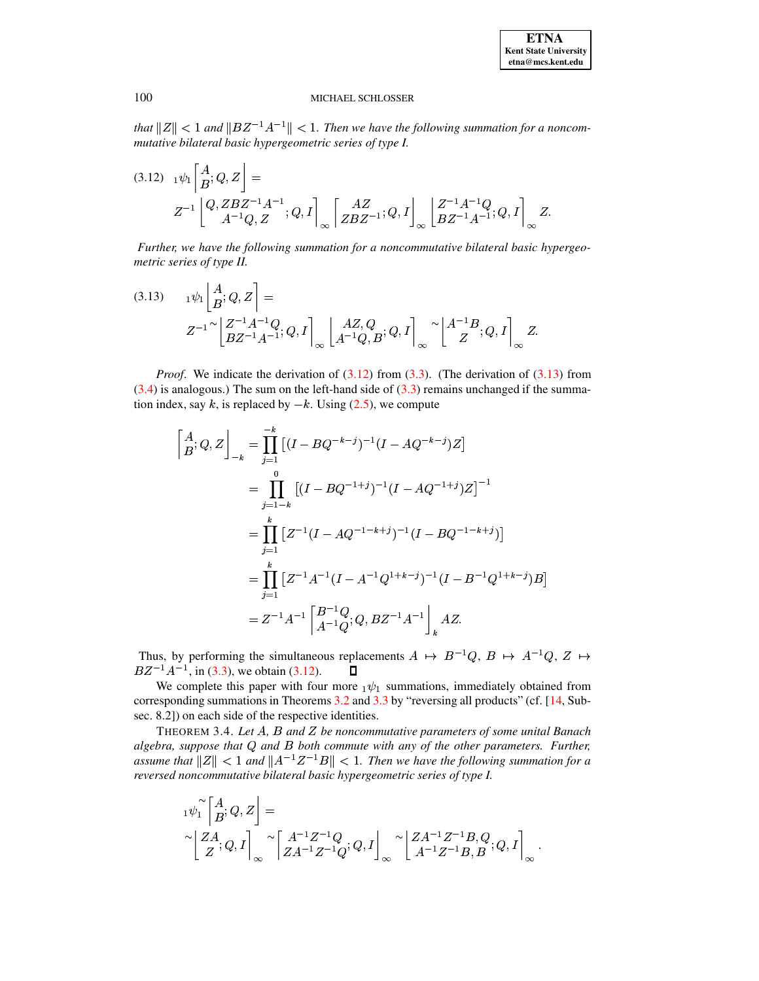*that*  $||Z|| < 1$  *and*  $||BZ^{-1}A^{-1}|| < 1$ *. Then we have the following summation for a noncom-*

<span id="page-6-0"></span>mutative bilateral basic hypergeometric series of type I.  
\n(3.12) 
$$
{}_1\psi_1\begin{bmatrix} A\\ B \end{bmatrix}Q, Z\begin{bmatrix} Q\end{bmatrix} =
$$
  
\n $Z^{-1}\begin{bmatrix} Q, ZBZ^{-1}A^{-1}\\ A^{-1}Q, Z \end{bmatrix}; Q, I\begin{bmatrix} AZ\\ ZBZ^{-1} \end{bmatrix}; Q, I\begin{bmatrix} Z^{-1}A^{-1}Q\\ BZ^{-1}A^{-1} \end{bmatrix}; Q, I\begin{bmatrix} Z \end{bmatrix}$ 

@ @ @ *Further, we have the following summation for a noncommutative bilateral basic hypergeometric series of type II.*

<span id="page-6-1"></span>(3.13) 
$$
{}_{1}\psi_{1}\left[\begin{matrix} A \\ B \end{matrix}; Q, Z\right] =
$$

$$
Z^{-1} \sim \left[\begin{matrix} Z^{-1}A^{-1}Q \\ BZ^{-1}A^{-1} \end{matrix}; Q, I\right]_{\infty} \left[\begin{matrix} AZ, Q \\ A^{-1}Q, B \end{matrix}; Q, I\right]_{\infty} \sim \left[\begin{matrix} A^{-1}B \\ Z \end{matrix}; Q, I\right]_{\infty} Z.
$$

*Proof.* We indicate the derivation of  $(3.12)$  from  $(3.3)$ . (The derivation of  $(3.13)$  from  $(3.4)$  is analogous.) The sum on the left-hand side of  $(3.3)$  remains unchanged if the summation index, say k, is replaced by  $-k$ . Using [\(2.5\)](#page-2-3), we compute 

$$
\begin{aligned}\n\begin{bmatrix}\nA, Q, Z\n\end{bmatrix}_{-k} &= \prod_{j=1}^{-k} \left[ (I - BQ^{-k-j})^{-1} (I - AQ^{-k-j}) Z \right] \\
&= \prod_{j=1-k}^{-0} \left[ (I - BQ^{-1+j})^{-1} (I - AQ^{-1+j}) Z \right]^{-1} \\
&= \prod_{j=1}^{k} \left[ Z^{-1} (I - AQ^{-1-k+j})^{-1} (I - BQ^{-1-k+j}) \right] \\
&= \prod_{j=1}^{k} \left[ Z^{-1} A^{-1} (I - A^{-1} Q^{1+k-j})^{-1} (I - B^{-1} Q^{1+k-j}) B \right] \\
&= Z^{-1} A^{-1} \left[ \frac{B^{-1} Q}{A^{-1} Q}; Q, B Z^{-1} A^{-1} \right]_{k} A Z.\n\end{aligned}
$$

Thus, by performing the simultaneous replacements  $A \mapsto B^{-1}Q$ ,  $B \mapsto A^{-1}Q$ ,  $Z \mapsto$  $BZ^{-1}A^{-1}$ , in [\(3.3\)](#page-4-3), we obtain [\(3.12\)](#page-6-0).  $\Box$ 

We complete this paper with four more  $\frac{1}{\psi_1}$  summations, immediately obtained from corresponding summations in Theorems [3.2](#page-4-2) and [3.3](#page-5-5) by "reversing all products" (cf. [\[14,](#page-8-2) Subsec. 8.2]) on each side of the respective identities.

THEOREM 3.4. *Let* <sup>Z</sup> *,* [ *and be noncommutative parameters of some unital Banach algebra, suppose that and* [ *both commute with any of the other parameters. Further, assume* that  $||Z|| < 1$  and  $||A^{-1}Z^{-1}B|| < 1$ . Then we have the following summation for a *reversed noncommutative bilateral basic hypergeometric series of type I.* Z

$$
\begin{aligned} &\ _{1}\psi_{1}^{\sim}\left[\begin{matrix}A\\ B\end{matrix};Q,Z\right]=\\ &\quad\left[\begin{matrix}ZA;Q,I\\ Z\end{matrix}\right]_{\infty}\sim\left[\begin{matrix}A^{-1}Z^{-1}Q\\ ZA^{-1}Z^{-1}Q\end{matrix};Q,I\right]_{\infty}\sim\left[\begin{matrix}ZA^{-1}Z^{-1}B,Q\\ A^{-1}Z^{-1}B,B\end{matrix};Q,I\right]_{\infty}.\end{aligned}
$$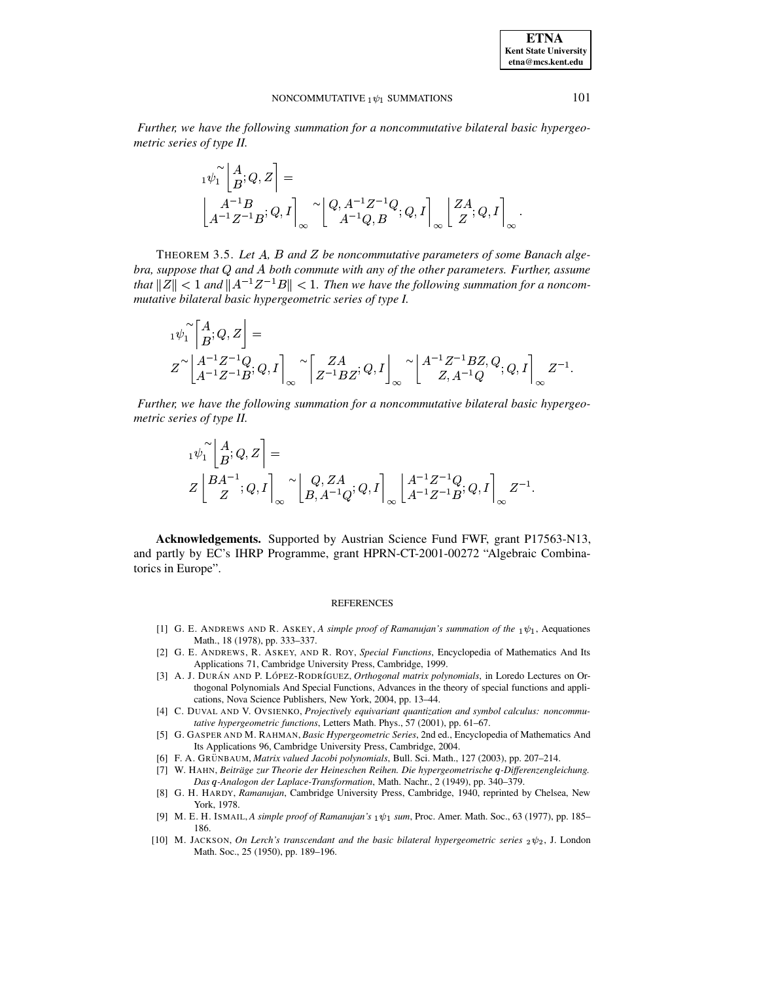**ETNA Kent State University etna@mcs.kent.edu**

#### NONCOMMUTATIVE  $_1 \psi_1$  SUMMATIONS 101

*Further, we have the following summation for a noncommutative bilateral basic hypergeometric series of type II.*

0 Z [ 8-. Z4 [ Z4 <sup>4</sup> [ <sup>8</sup> ] <sup>8</sup> Z4 <sup>4</sup> Z4 8>[ <sup>8</sup> ] Z <sup>8</sup> ]

THEOREM 3.5. Let A, B and Z be noncommutative parameters of some Banach alge*bra, suppose that and* <sup>Z</sup> *both commute with any of the other parameters. Further, assume that*  $||Z|| < 1$  and  $||A^{-1}Z^{-1}B|| < 1$ . Then we have the following summation for a noncom*mutative bilateral basic hypergeometric series of type I.* Z

$$
\begin{aligned} &\ _{1}\psi_{1}^{\sim }\left[\stackrel{A}{B};Q,Z\right]= \\ &Z^{\sim }\left[\stackrel{A^{-1}Z^{-1}Q}{A^{-1}Z^{-1}B};Q,I\right]_{\infty}\left[\stackrel{ZA}{Z^{-1}BZ};Q,I\right]_{\infty}\left[\stackrel{A^{-1}Z^{-1}BZ,Q}{Z,A^{-1}Q};Q,I\right]_{\infty}Z^{-1}. \end{aligned}
$$

@ @ @ *Further, we have the following summation for a noncommutative bilateral basic hypergeometric series of type II.*

$$
\begin{aligned} &{}_1\psi_1^\sim\!\left\lfloor\frac{A}{B};Q,Z\right\rfloor=\\ &Z\left\lfloor\frac{BA^{-1}}{Z};Q,I\right\rfloor_\infty\!\sim\!\left\lfloor\frac{Q,ZA}{B,A^{-1}Q};Q,I\right\rfloor_\infty\left\lfloor\frac{A^{-1}Z^{-1}Q}{A^{-1}Z^{-1}B};Q,I\right\rfloor_\infty Z^{-1}. \end{aligned}
$$

**Acknowledgements.** Supported by Austrian Science Fund FWF, grant P17563-N13, and partly by EC's IHRP Programme, grant HPRN-CT-2001-00272 "Algebraic Combinatorics in Europe".

#### **REFERENCES**

- <span id="page-7-4"></span>[1] G. E. ANDREWS AND R. ASKEY, A simple proof of Ramanujan's summation of the  $_1\psi_1$ , Aequationes Math., 18 (1978), pp. 333–337.
- <span id="page-7-9"></span>[2] G. E. ANDREWS, R. ASKEY, AND R. ROY, *Special Functions*, Encyclopedia of Mathematics And Its Applications 71, Cambridge University Press, Cambridge, 1999.
- <span id="page-7-2"></span>[3] A. J. DURÁN AND P. LÓPEZ-RODRÍGUEZ, Orthogonal matrix polynomials, in Loredo Lectures on Orthogonal Polynomials And Special Functions, Advances in the theory of special functions and applications, Nova Science Publishers, New York, 2004, pp. 13–44.
- <span id="page-7-0"></span>[4] C. DUVAL AND V. OVSIENKO, *Projectively equivariant quantization and symbol calculus: noncommutative hypergeometric functions*, Letters Math. Phys., 57 (2001), pp. 61–67.
- <span id="page-7-3"></span><span id="page-7-1"></span>[5] G. GASPER AND M. RAHMAN, *Basic Hypergeometric Series*, 2nd ed., Encyclopedia of Mathematics And Its Applications 96, Cambridge University Press, Cambridge, 2004.
- [6] F. A. GRU¨ NBAUM, *Matrix valued Jacobi polynomials*, Bull. Sci. Math., 127 (2003), pp. 207–214.
- <span id="page-7-6"></span>[7] W. HAHN, *Beitrag¨ e zur Theorie der Heineschen Reihen. Die hypergeometrische* <sup>¬</sup>*-Differenzengleichung. Das* <sup>¬</sup>*-Analogon der Laplace-Transformation*, Math. Nachr., 2 (1949), pp. 340–379.
- <span id="page-7-5"></span>[8] G. H. HARDY, *Ramanujan*, Cambridge University Press, Cambridge, 1940, reprinted by Chelsea, New York, 1978.
- <span id="page-7-8"></span>[9] M. E. H. ISMAIL, *A simple proof of Ramanujan's sum*, Proc. Amer. Math. Soc., 63 (1977), pp. 185– 186.
- <span id="page-7-7"></span>[10] M. JACKSON, *On Lerch's transcendant and the basic bilateral hypergeometric series*  $_2\psi_2$ , J. London Math. Soc., 25 (1950), pp. 189–196.